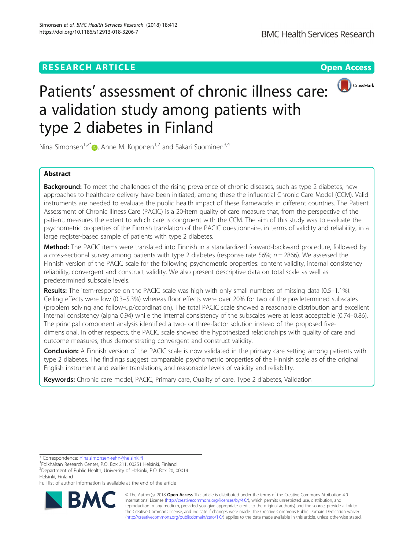# **RESEARCH ARTICLE Example 2014 12:30 The Contract of Contract ACCESS**



# Patients' assessment of chronic illness care: a validation study among patients with type 2 diabetes in Finland

Nina Simonsen<sup>1,2\*</sup> $\bullet$ , Anne M. Koponen<sup>1,2</sup> and Sakari Suominen<sup>3,4</sup>

# Abstract

**Background:** To meet the challenges of the rising prevalence of chronic diseases, such as type 2 diabetes, new approaches to healthcare delivery have been initiated; among these the influential Chronic Care Model (CCM). Valid instruments are needed to evaluate the public health impact of these frameworks in different countries. The Patient Assessment of Chronic Illness Care (PACIC) is a 20-item quality of care measure that, from the perspective of the patient, measures the extent to which care is congruent with the CCM. The aim of this study was to evaluate the psychometric properties of the Finnish translation of the PACIC questionnaire, in terms of validity and reliability, in a large register-based sample of patients with type 2 diabetes.

Method: The PACIC items were translated into Finnish in a standardized forward-backward procedure, followed by a cross-sectional survey among patients with type 2 diabetes (response rate 56%;  $n = 2866$ ). We assessed the Finnish version of the PACIC scale for the following psychometric properties: content validity, internal consistency reliability, convergent and construct validity. We also present descriptive data on total scale as well as predetermined subscale levels.

Results: The item-response on the PACIC scale was high with only small numbers of missing data (0.5–1.1%). Ceiling effects were low (0.3–5.3%) whereas floor effects were over 20% for two of the predetermined subscales (problem solving and follow-up/coordination). The total PACIC scale showed a reasonable distribution and excellent internal consistency (alpha 0.94) while the internal consistency of the subscales were at least acceptable (0.74–0.86). The principal component analysis identified a two- or three-factor solution instead of the proposed fivedimensional. In other respects, the PACIC scale showed the hypothesized relationships with quality of care and outcome measures, thus demonstrating convergent and construct validity.

**Conclusion:** A Finnish version of the PACIC scale is now validated in the primary care setting among patients with type 2 diabetes. The findings suggest comparable psychometric properties of the Finnish scale as of the original English instrument and earlier translations, and reasonable levels of validity and reliability.

Keywords: Chronic care model, PACIC, Primary care, Quality of care, Type 2 diabetes, Validation

\* Correspondence: [nina.simonsen-rehn@helsinki.fi](mailto:nina.simonsen-rehn@helsinki.fi) <sup>1</sup>

<sup>2</sup> Department of Public Health, University of Helsinki, P.O. Box 20, 00014 Helsinki, Finland

Full list of author information is available at the end of the article



© The Author(s). 2018 Open Access This article is distributed under the terms of the Creative Commons Attribution 4.0 International License [\(http://creativecommons.org/licenses/by/4.0/](http://creativecommons.org/licenses/by/4.0/)), which permits unrestricted use, distribution, and reproduction in any medium, provided you give appropriate credit to the original author(s) and the source, provide a link to the Creative Commons license, and indicate if changes were made. The Creative Commons Public Domain Dedication waiver [\(http://creativecommons.org/publicdomain/zero/1.0/](http://creativecommons.org/publicdomain/zero/1.0/)) applies to the data made available in this article, unless otherwise stated.

<sup>&</sup>lt;sup>1</sup> Folkhälsan Research Center, P.O. Box 211, 00251 Helsinki, Finland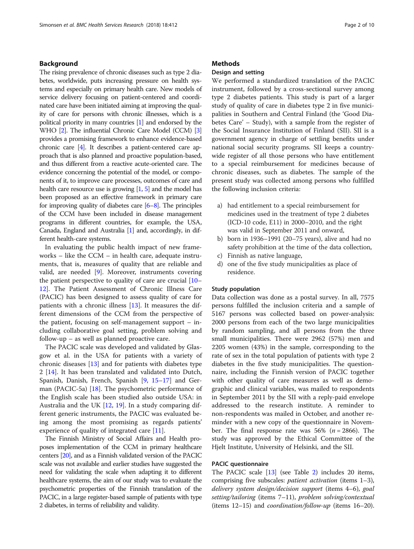# Background

The rising prevalence of chronic diseases such as type 2 diabetes, worldwide, puts increasing pressure on health systems and especially on primary health care. New models of service delivery focusing on patient-centered and coordinated care have been initiated aiming at improving the quality of care for persons with chronic illnesses, which is a political priority in many countries [\[1\]](#page-8-0) and endorsed by the WHO [[2](#page-8-0)]. The influential Chronic Care Model (CCM) [[3](#page-8-0)] provides a promising framework to enhance evidence-based chronic care [[4](#page-8-0)]. It describes a patient-centered care approach that is also planned and proactive population-based, and thus different from a reactive acute-oriented care. The evidence concerning the potential of the model, or components of it, to improve care processes, outcomes of care and health care resource use is growing [\[1](#page-8-0), [5\]](#page-8-0) and the model has been proposed as an effective framework in primary care for improving quality of diabetes care  $[6-8]$  $[6-8]$  $[6-8]$ . The principles of the CCM have been included in disease management programs in different countries, for example, the USA, Canada, England and Australia [\[1](#page-8-0)] and, accordingly, in different health-care systems.

In evaluating the public health impact of new frameworks – like the CCM – in health care, adequate instruments, that is, measures of quality that are reliable and valid, are needed [[9\]](#page-9-0). Moreover, instruments covering the patient perspective to quality of care are crucial [[10](#page-9-0)– [12\]](#page-9-0). The Patient Assessment of Chronic Illness Care (PACIC) has been designed to assess quality of care for patients with a chronic illness [[13\]](#page-9-0). It measures the different dimensions of the CCM from the perspective of the patient, focusing on self-management support – including collaborative goal setting, problem solving and follow-up – as well as planned proactive care.

The PACIC scale was developed and validated by Glasgow et al. in the USA for patients with a variety of chronic diseases [[13\]](#page-9-0) and for patients with diabetes type 2 [[14\]](#page-9-0). It has been translated and validated into Dutch, Spanish, Danish, French, Spanish [\[9](#page-9-0), [15](#page-9-0)–[17\]](#page-9-0) and German (PACIC-5a) [[18\]](#page-9-0). The psychometric performance of the English scale has been studied also outside USA: in Australia and the UK [\[12](#page-9-0), [19](#page-9-0)]. In a study comparing different generic instruments, the PACIC was evaluated being among the most promising as regards patients' experience of quality of integrated care [[11\]](#page-9-0).

The Finnish Ministry of Social Affairs and Health proposes implementation of the CCM in primary healthcare centers [\[20](#page-9-0)], and as a Finnish validated version of the PACIC scale was not available and earlier studies have suggested the need for validating the scale when adapting it to different healthcare systems, the aim of our study was to evaluate the psychometric properties of the Finnish translation of the PACIC, in a large register-based sample of patients with type 2 diabetes, in terms of reliability and validity.

# **Methods**

# Design and setting

We performed a standardized translation of the PACIC instrument, followed by a cross-sectional survey among type 2 diabetes patients. This study is part of a larger study of quality of care in diabetes type 2 in five municipalities in Southern and Central Finland (the 'Good Diabetes Care' – Study), with a sample from the register of the Social Insurance Institution of Finland (SII). SII is a government agency in charge of settling benefits under national social security programs. SII keeps a countrywide register of all those persons who have entitlement to a special reimbursement for medicines because of chronic diseases, such as diabetes. The sample of the present study was collected among persons who fulfilled the following inclusion criteria:

- a) had entitlement to a special reimbursement for medicines used in the treatment of type 2 diabetes (ICD-10 code, E11) in 2000–2010, and the right was valid in September 2011 and onward,
- b) born in 1936–1991 (20–75 years), alive and had no safety prohibition at the time of the data collection,
- c) Finnish as native language,
- d) one of the five study municipalities as place of residence.

# Study population

Data collection was done as a postal survey. In all, 7575 persons fulfilled the inclusion criteria and a sample of 5167 persons was collected based on power-analysis: 2000 persons from each of the two large municipalities by random sampling, and all persons from the three small municipalities. There were 2962 (57%) men and 2205 women (43%) in the sample, corresponding to the rate of sex in the total population of patients with type 2 diabetes in the five study municipalities. The questionnaire, including the Finnish version of PACIC together with other quality of care measures as well as demographic and clinical variables, was mailed to respondents in September 2011 by the SII with a reply-paid envelope addressed to the research institute. A reminder to non-respondents was mailed in October, and another reminder with a new copy of the questionnaire in November. The final response rate was  $56\%$  ( $n = 2866$ ). The study was approved by the Ethical Committee of the Hjelt Institute, University of Helsinki, and the SII.

# PACIC questionnaire

The PACIC scale [\[13](#page-9-0)] (see Table [2](#page-5-0)) includes 20 items, comprising five subscales: patient activation (items 1–3), delivery system design/decision support (items 4–6), goal setting/tailoring (items 7–11), problem solving/contextual (items  $12-15$ ) and *coordination/follow-up* (items  $16-20$ ).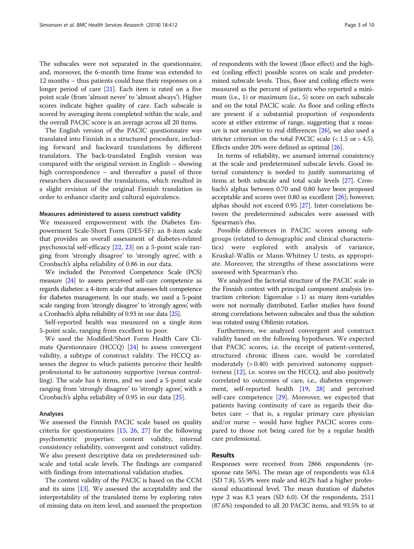The subscales were not separated in the questionnaire, and, moreover, the 6-month time frame was extended to 12 months – thus patients could base their responses on a longer period of care  $[21]$  $[21]$  $[21]$ . Each item is rated on a five point scale (from 'almost never' to 'almost always'). Higher scores indicate higher quality of care. Each subscale is scored by averaging items completed within the scale, and the overall PACIC score is an average across all 20 items.

The English version of the PACIC questionnaire was translated into Finnish in a structured procedure, including forward and backward translations by different translators. The back-translated English version was compared with the original version in English – showing high correspondence – and thereafter a panel of three researchers discussed the translations, which resulted in a slight revision of the original Finnish translation in order to enhance clarity and cultural equivalence.

#### Measures administered to assess construct validity

We measured empowerment with the Diabetes Empowerment Scale-Short Form (DES-SF): an 8-item scale that provides an overall assessment of diabetes-related psychosocial self-efficacy [[22,](#page-9-0) [23\]](#page-9-0) on a 5-point scale ranging from 'strongly disagree' to 'strongly agree', with a Cronbach's alpha reliability of 0.86 in our data.

We included the Perceived Competence Scale (PCS) measure [\[24](#page-9-0)] to assess perceived self-care competence as regards diabetes: a 4-item scale that assesses felt competence for diabetes management. In our study, we used a 5-point scale ranging from 'strongly disagree' to 'strongly agree' with a Cronbach's alpha reliability of 0.93 in our data [[25\]](#page-9-0).

Self-reported health was measured on a single item 5-point scale, ranging from excellent to poor.

We used the Modified/Short Form Health Care Climate Questionnaire (HCCQ) [\[24](#page-9-0)] to assess convergent validity, a subtype of construct validity. The HCCQ assesses the degree to which patients perceive their health professional to be autonomy supportive (versus controlling). The scale has 6 items, and we used a 5-point scale ranging from 'strongly disagree' to 'strongly agree', with a Cronbach's alpha reliability of 0.95 in our data [\[25](#page-9-0)].

#### Analyses

We assessed the Finnish PACIC scale based on quality criteria for questionnaires [\[15](#page-9-0), [26](#page-9-0), [27](#page-9-0)] for the following psychometric properties: content validity, internal consistency reliability, convergent and construct validity. We also present descriptive data on predetermined subscale and total scale levels. The findings are compared with findings from international validation studies.

The content validity of the PACIC is based on the CCM and its aims [[13](#page-9-0)]. We assessed the acceptability and the interpretability of the translated items by exploring rates of missing data on item level, and assessed the proportion

of respondents with the lowest (floor effect) and the highest (ceiling effect) possible scores on scale and predetermined subscale levels. Thus, floor and ceiling effects were measured as the percent of patients who reported a minimum (i.e., 1) or maximum (i.e., 5) score on each subscale and on the total PACIC scale. As floor and ceiling effects are present if a substantial proportion of respondents score at either extreme of range, suggesting that a measure is not sensitive to real differences [\[26\]](#page-9-0), we also used a stricter criterion on the total PACIC scale  $(< 1.5$  or  $> 4.5$ ). Effects under 20% were defined as optimal [[26\]](#page-9-0).

In terms of reliability, we assessed internal consistency at the scale and predetermined subscale levels. Good internal consistency is needed to justify summarizing of items at both subscale and total scale levels [\[27](#page-9-0)]. Cronbach's alphas between 0.70 and 0.80 have been proposed acceptable and scores over 0.80 as excellent [[26](#page-9-0)]; however, alphas should not exceed 0.95 [\[27\]](#page-9-0). Inter-correlations between the predetermined subscales were assessed with Spearman's rho.

Possible differences in PACIC scores among subgroups (related to demographic and clinical characteristics) were explored with analysis of variance, Kruskal-Wallis or Mann-Whitney U tests, as appropriate. Moreover, the strengths of these associations were assessed with Spearman's rho.

We analyzed the factorial structure of the PACIC scale in the Finnish context with principal component analysis (extraction criterion: Eigenvalue  $> 1$ ) as many item-variables were not normally distributed. Earlier studies have found strong correlations between subscales and thus the solution was rotated using Oblimin rotation.

Furthermore, we analyzed convergent and construct validity based on the following hypotheses. We expected that PACIC scores, i.e. the receipt of patient-centered, structured chronic illness care, would be correlated moderately (> 0.40) with perceived autonomy supportiveness [[12\]](#page-9-0), i.e. scores on the HCCQ, and also positively correlated to outcomes of care, i.e., diabetes empowerment, self-reported health [\[19,](#page-9-0) [28](#page-9-0)] and perceived self-care competence [\[29](#page-9-0)]. Moreover, we expected that patients having continuity of care as regards their diabetes care – that is, a regular primary care physician and/or nurse – would have higher PACIC scores compared to those not being cared for by a regular health care professional.

# Results

Responses were received from 2866 respondents (response rate 56%). The mean age of respondents was 63.4 (SD 7.8), 55.9% were male and 40.2% had a higher professional educational level. The mean duration of diabetes type 2 was 8.3 years (SD 6.0). Of the respondents, 2511 (87.6%) responded to all 20 PACIC items, and 93.5% to at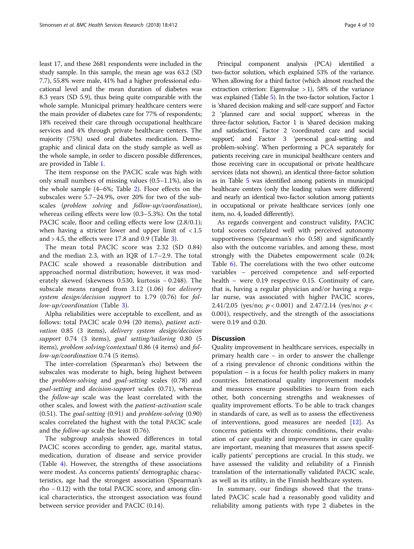least 17, and these 2681 respondents were included in the study sample. In this sample, the mean age was 63.2 (SD 7.7), 55.8% were male, 41% had a higher professional educational level and the mean duration of diabetes was 8.3 years (SD 5.9), thus being quite comparable with the whole sample. Municipal primary healthcare centers were the main provider of diabetes care for 77% of respondents; 18% received their care through occupational healthcare services and 4% through private healthcare centers. The majority (75%) used oral diabetes medication. Demographic and clinical data on the study sample as well as the whole sample, in order to discern possible differences, are provided in Table [1.](#page-4-0)

The item response on the PACIC scale was high with only small numbers of missing values (0.5–1.1%), also in the whole sample (4–6%; Table [2\)](#page-5-0). Floor effects on the subscales were 5.7–24.9%, over 20% for two of the subscales (problem solving and follow-up/coordination), whereas ceiling effects were low (0.3–5.3%). On the total PACIC scale, floor and ceiling effects were low  $(2.8/0.1)$ ; when having a stricter lower and upper limit of < 1.5 and  $> 4.5$ , the effects were 17.8 and 0.9 (Table [3\)](#page-5-0).

The mean total PACIC score was 2.32 (SD 0.84) and the median 2.3, with an IQR of 1.7–2.9. The total PACIC scale showed a reasonable distribution and approached normal distribution; however, it was moderately skewed (skewness 0.530, kurtosis − 0.248). The subscale means ranged from 3.12 (1.06) for delivery system design/decision support to 1.79 (0.76) for follow-up/coordination (Table [3](#page-5-0)).

Alpha reliabilities were acceptable to excellent, and as follows: total PACIC scale 0.94 (20 items), patient activation 0.85 (3 items), delivery system design/decision support 0.74 (3 items), goal setting/tailoring 0.80 (5 items), problem solving/contextual 0.86 (4 items) and follow-up/coordination 0.74 (5 items).

The inter-correlation (Spearman's rho) between the subscales was moderate to high, being highest between the problem-solving and goal-setting scales (0.78) and goal-setting and decision-support scales (0.71), whereas the follow-up scale was the least correlated with the other scales, and lowest with the patient-activation scale (0.51). The goal-setting (0.91) and problem-solving (0.90) scales correlated the highest with the total PACIC scale and the follow-up scale the least (0.76).

The subgroup analysis showed differences in total PACIC scores according to gender, age, marital status, medication, duration of disease and service provider (Table [4\)](#page-6-0). However, the strengths of these associations were modest. As concerns patients' demographic characteristics, age had the strongest association (Spearman's rho − 0.12) with the total PACIC score, and among clinical characteristics, the strongest association was found between service provider and PACIC (0.14).

Principal component analysis (PCA) identified a two-factor solution, which explained 53% of the variance. When allowing for a third factor (which almost reached the extraction criterion: Eigenvalue  $>1$ ), 58% of the variance was explained (Table [5\)](#page-7-0). In the two-factor solution, Factor 1 is 'shared decision making and self-care support' and Factor 2 'planned care and social support', whereas in the three-factor solution, Factor 1 is 'shared decision making and satisfaction, Factor 2 'coordinated care and social support, and Factor 3 'personal goal-setting and problem-solving'. When performing a PCA separately for patients receiving care in municipal healthcare centers and those receiving care in occupational or private healthcare services (data not shown), an identical three-factor solution as in Table [5](#page-7-0) was identified among patients in municipal healthcare centers (only the loading values were different) and nearly an identical two-factor solution among patients in occupational or private healthcare services (only one item, no. 4, loaded differently).

As regards convergent and construct validity, PACIC total scores correlated well with perceived autonomy supportiveness (Spearman's rho 0.58) and significantly also with the outcome variables, and among these, most strongly with the Diabetes empowerment scale (0.24; Table [6\)](#page-7-0). The correlations with the two other outcome variables – perceived competence and self-reported health – were 0.19 respective 0.15. Continuity of care, that is, having a regular physician and/or having a regular nurse, was associated with higher PACIC scores, 2.41/2.05 (yes/no;  $p < 0.001$ ) and 2.47/2.14 (yes/no;  $p <$ 0.001), respectively, and the strength of the associations were 0.19 and 0.20.

### **Discussion**

Quality improvement in healthcare services, especially in primary health care – in order to answer the challenge of a rising prevalence of chronic conditions within the population – is a focus for health policy makers in many countries. International quality improvement models and measures ensure possibilities to learn from each other, both concerning strengths and weaknesses of quality improvement efforts. To be able to track changes in standards of care, as well as to assess the effectiveness of interventions, good measures are needed [[12\]](#page-9-0). As concerns patients with chronic conditions, their evaluation of care quality and improvements in care quality are important, meaning that measures that assess specifically patients' perceptions are crucial. In this study, we have assessed the validity and reliability of a Finnish translation of the internationally validated PACIC scale, as well as its utility, in the Finnish healthcare system.

In summary, our findings showed that the translated PACIC scale had a reasonably good validity and reliability among patients with type 2 diabetes in the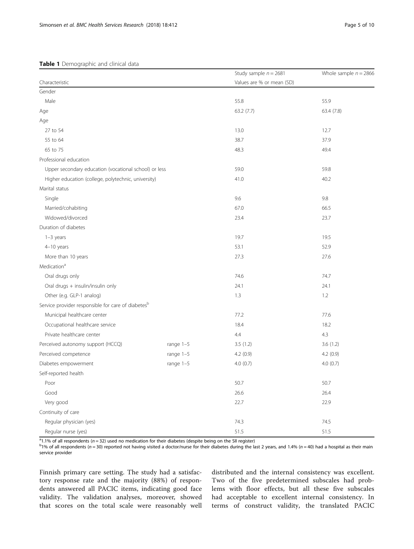# <span id="page-4-0"></span>Table 1 Demographic and clinical data

|                                                                |             | Study sample $n = 2681$   | Whole sample $n = 2866$ |  |  |
|----------------------------------------------------------------|-------------|---------------------------|-------------------------|--|--|
| Characteristic                                                 |             | Values are % or mean (SD) |                         |  |  |
| Gender                                                         |             |                           |                         |  |  |
| Male                                                           |             | 55.8                      | 55.9                    |  |  |
| Age                                                            |             | 63.2 (7.7)                | 63.4 (7.8)              |  |  |
| Age                                                            |             |                           |                         |  |  |
| 27 to 54                                                       |             | 13.0                      | 12.7                    |  |  |
| 55 to 64                                                       |             | 38.7                      | 37.9                    |  |  |
| 65 to 75                                                       |             | 48.3                      | 49.4                    |  |  |
| Professional education                                         |             |                           |                         |  |  |
| Upper secondary education (vocational school) or less          |             | 59.0                      | 59.8                    |  |  |
| Higher education (college, polytechnic, university)            |             | 41.0                      | 40.2                    |  |  |
| Marital status                                                 |             |                           |                         |  |  |
| Single                                                         |             | 9.6                       | 9.8                     |  |  |
| Married/cohabiting                                             |             | 67.0                      | 66.5                    |  |  |
| Widowed/divorced                                               |             | 23.4                      | 23.7                    |  |  |
| Duration of diabetes                                           |             |                           |                         |  |  |
| $1-3$ years                                                    |             | 19.7                      | 19.5                    |  |  |
| 4-10 years                                                     |             | 53.1                      | 52.9                    |  |  |
| More than 10 years                                             |             | 27.3                      | 27.6                    |  |  |
| Medication <sup>a</sup>                                        |             |                           |                         |  |  |
| Oral drugs only                                                |             | 74.6                      | 74.7                    |  |  |
| Oral drugs + insulin/insulin only                              |             | 24.1                      | 24.1                    |  |  |
| Other (e.g. GLP-1 analog)                                      |             | 1.3                       | 1.2                     |  |  |
| Service provider responsible for care of diabetes <sup>b</sup> |             |                           |                         |  |  |
| Municipal healthcare center                                    |             | 77.2                      | 77.6                    |  |  |
| Occupational healthcare service                                |             | 18.4                      | 18.2                    |  |  |
| Private healthcare center                                      |             | 4.4                       | 4.3                     |  |  |
| Perceived autonomy support (HCCQ)                              | range $1-5$ | 3.5(1.2)                  | 3.6(1.2)                |  |  |
| Perceived competence                                           | range $1-5$ | 4.2(0.9)                  | 4.2(0.9)                |  |  |
| Diabetes empowerment                                           | range $1-5$ | 4.0(0.7)                  | 4.0(0.7)                |  |  |
| Self-reported health                                           |             |                           |                         |  |  |
| Poor                                                           |             | 50.7                      | 50.7                    |  |  |
| Good                                                           |             | 26.6                      | 26.4                    |  |  |
| Very good                                                      |             | 22.7                      | 22.9                    |  |  |
| Continuity of care                                             |             |                           |                         |  |  |
| Regular physician (yes)                                        |             | 74.3                      | 74.5                    |  |  |
| Regular nurse (yes)                                            |             | 51.5                      | 51.5                    |  |  |

<sup>a</sup>1.1% of all respondents ( $n = 32$ ) used no medication for their diabetes (despite being on the SII register)<br><sup>b<sub>106</sub> of all respondents ( $n = 30$ ) reported not baying visited a doctor/purse for their diabetes during the </sup>

 $b$ 1% of all respondents (n = 30) reported not having visited a doctor/nurse for their diabetes during the last 2 years, and 1.4% (n = 40) had a hospital as their main service provider

Finnish primary care setting. The study had a satisfactory response rate and the majority (88%) of respondents answered all PACIC items, indicating good face validity. The validation analyses, moreover, showed that scores on the total scale were reasonably well distributed and the internal consistency was excellent. Two of the five predetermined subscales had problems with floor effects, but all these five subscales had acceptable to excellent internal consistency. In terms of construct validity, the translated PACIC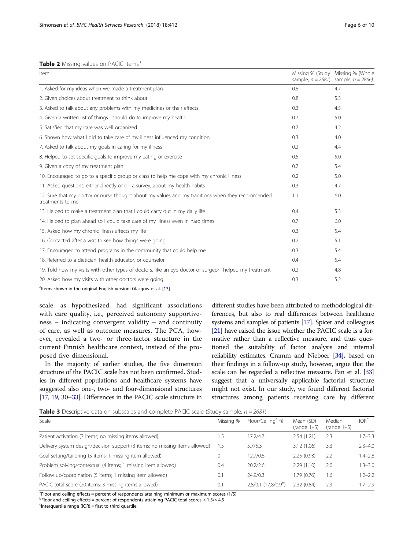# <span id="page-5-0"></span>Table 2 Missing values on PACIC items<sup>a</sup>

| Item                                                                                                                 |     | Missing % (Study Missing % (Whole<br>sample; $n = 2681$ ) sample; $n = 2866$ ) |
|----------------------------------------------------------------------------------------------------------------------|-----|--------------------------------------------------------------------------------|
| 1. Asked for my ideas when we made a treatment plan                                                                  | 0.8 | 4.7                                                                            |
| 2. Given choices about treatment to think about                                                                      | 0.8 | 5.3                                                                            |
| 3. Asked to talk about any problems with my medicines or their effects                                               | 0.3 | 4.5                                                                            |
| 4. Given a written list of things I should do to improve my health                                                   | 0.7 | 5.0                                                                            |
| 5. Satisfied that my care was well organized                                                                         | 0.7 | 4.2                                                                            |
| 6. Shown how what I did to take care of my illness influenced my condition                                           | 0.3 | 4.0                                                                            |
| 7. Asked to talk about my goals in caring for my illness                                                             | 0.2 | 4.4                                                                            |
| 8. Helped to set specific goals to improve my eating or exercise                                                     | 0.5 | 5.0                                                                            |
| 9. Given a copy of my treatment plan                                                                                 | 0.7 | 5.4                                                                            |
| 10. Encouraged to go to a specific group or class to help me cope with my chronic illness                            | 0.2 | 5.0                                                                            |
| 11. Asked questions, either directly or on a survey, about my health habits                                          | 0.3 | 4.7                                                                            |
| 12. Sure that my doctor or nurse thought about my values and my traditions when they recommended<br>treatments to me | 1.1 | 6.0                                                                            |
| 13. Helped to make a treatment plan that I could carry out in my daily life                                          | 0.4 | 5.3                                                                            |
| 14. Helped to plan ahead so I could take care of my illness even in hard times                                       | 0.7 | 6.0                                                                            |
| 15. Asked how my chronic illness affects my life                                                                     | 0.3 | 5.4                                                                            |
| 16. Contacted after a visit to see how things were going                                                             | 0.2 | 5.1                                                                            |
| 17. Encouraged to attend programs in the community that could help me                                                | 0.3 | 5.4                                                                            |
| 18. Referred to a dietician, health educator, or counselor                                                           | 0.4 | 5.4                                                                            |
| 19. Told how my visits with other types of doctors, like an eye doctor or surgeon, helped my treatment               | 0.2 | 4.8                                                                            |
| 20. Asked how my visits with other doctors were going                                                                | 0.3 | 5.2                                                                            |
| <sup>a</sup> ltems shown in the original English version; Glasgow et al. [13]                                        |     |                                                                                |

scale, as hypothesized, had significant associations with care quality, i.e., perceived autonomy supportiveness – indicating convergent validity – and continuity of care, as well as outcome measures. The PCA, however, revealed a two- or three-factor structure in the current Finnish healthcare context, instead of the proposed five-dimensional.

In the majority of earlier studies, the five dimension structure of the PACIC scale has not been confirmed. Studies in different populations and healthcare systems have suggested also one-, two- and four-dimensional structures [[17](#page-9-0), [19](#page-9-0), [30](#page-9-0)–[33\]](#page-9-0). Differences in the PACIC scale structure in

different studies have been attributed to methodological differences, but also to real differences between healthcare systems and samples of patients [[17](#page-9-0)]. Spicer and colleagues [[21](#page-9-0)] have raised the issue whether the PACIC scale is a formative rather than a reflective measure, and thus questioned the suitability of factor analysis and internal reliability estimates. Cramm and Nieboer [\[34](#page-9-0)], based on their findings in a follow-up study, however, argue that the scale can be regarded a reflective measure. Fan et al. [\[33](#page-9-0)] suggest that a universally applicable factorial structure might not exist. In our study, we found different factorial structures among patients receiving care by different

**Table 3** Descriptive data on subscales and complete PACIC scale (Study sample;  $n = 2681$ )

| Scale                                                                       | Missing % | Floor/Ceiling <sup>a</sup> %    | Mean (SD)<br>$(range 1-5)$ | Median<br>$(range 1-5)$ | IOR <sup>c</sup> |
|-----------------------------------------------------------------------------|-----------|---------------------------------|----------------------------|-------------------------|------------------|
| Patient activation (3 items; no missing items allowed)                      | .5        | 17.2/4.7                        | 2.54(1.21)                 | 2.3                     | $1.7 - 3.3$      |
| Delivery system design/decision support (3 items; no missing items allowed) | 1.5       | 5.7/5.3                         | 3.12 (1.06)                | 3.3                     | $2.3 - 4.0$      |
| Goal setting/tailoring (5 items; 1 missing item allowed)                    | 0         | 12.7/0.6                        | 2.25(0.93)                 | 2.2                     | $1.4 - 2.8$      |
| Problem solving/contextual (4 items; 1 missing item allowed)                | 0.4       | 20.2/2.6                        | 2.29(1.10)                 | 2.0                     | $1.3 - 3.0$      |
| Follow up/coordination (5 items; 1 missing item allowed)                    | 0.1       | 24.9/0.3                        | 1.79(0.76)                 | 1.6                     | $1.2 - 2.2$      |
| PACIC total score (20 items; 3 missing items allowed)                       | 0.1       | 2.8/0.1(17.8/0.9 <sup>b</sup> ) | 2.32(0.84)                 | 2.3                     | $7 - 2.9$        |
|                                                                             |           |                                 |                            |                         |                  |

<sup>a</sup>Floor and ceiling effects = percent of respondents attaining minimum or maximum scores (1/5)

 $^{\text{b}}$ Floor and ceiling effects = percent of respondents attaining PACIC total scores < 1.5/> 4.5

 $c$ Interquartile range (IQR) = first to third quartile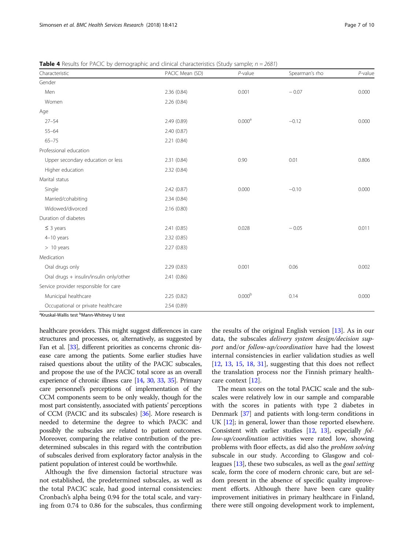| Characteristic                          | PACIC Mean (SD) | $P$ -value         | Spearman's rho | $P$ -value |
|-----------------------------------------|-----------------|--------------------|----------------|------------|
| Gender                                  |                 |                    |                |            |
| Men                                     | 2.36 (0.84)     | 0.001              | $-0.07$        | 0.000      |
| Women                                   | 2.26(0.84)      |                    |                |            |
| Age                                     |                 |                    |                |            |
| $27 - 54$                               | 2.49 (0.89)     | 0.000 <sup>a</sup> | $-0.12$        | 0.000      |
| $55 - 64$                               | 2.40 (0.87)     |                    |                |            |
| $65 - 75$                               | 2.21 (0.84)     |                    |                |            |
| Professional education                  |                 |                    |                |            |
| Upper secondary education or less       | 2.31(0.84)      | 0.90               | 0.01           | 0.806      |
| Higher education                        | 2.32 (0.84)     |                    |                |            |
| Marital status                          |                 |                    |                |            |
| Single                                  | 2.42(0.87)      | 0.000              | $-0.10$        | 0.000      |
| Married/cohabiting                      | 2.34(0.84)      |                    |                |            |
| Widowed/divorced                        | 2.16(0.80)      |                    |                |            |
| Duration of diabetes                    |                 |                    |                |            |
| $\leq$ 3 years                          | 2.41(0.85)      | 0.028              | $-0.05$        | 0.011      |
| 4-10 years                              | 2.32(0.85)      |                    |                |            |
| $> 10$ years                            | 2.27(0.83)      |                    |                |            |
| Medication                              |                 |                    |                |            |
| Oral drugs only                         | 2.29(0.83)      | 0.001              | 0.06           | 0.002      |
| Oral drugs + insulin/insulin only/other | 2.41 (0.86)     |                    |                |            |
| Service provider responsible for care   |                 |                    |                |            |
| Municipal healthcare                    | 2.25(0.82)      | 0.000 <sup>b</sup> | 0.14           | 0.000      |
| Occupational or private healthcare      | 2.54 (0.89)     |                    |                |            |

<span id="page-6-0"></span>**Table 4** Results for PACIC by demographic and clinical characteristics (Study sample;  $n = 2681$ )

<sup>a</sup>Kruskal-Wallis test <sup>b</sup>Mann-Whitney U test

healthcare providers. This might suggest differences in care structures and processes, or, alternatively, as suggested by Fan et al. [\[33\]](#page-9-0), different priorities as concerns chronic disease care among the patients. Some earlier studies have raised questions about the utility of the PACIC subscales, and propose the use of the PACIC total score as an overall experience of chronic illness care [\[14,](#page-9-0) [30,](#page-9-0) [33,](#page-9-0) [35\]](#page-9-0). Primary care personnel's perceptions of implementation of the CCM components seem to be only weakly, though for the most part consistently, associated with patients' perceptions of CCM (PACIC and its subscales) [[36](#page-9-0)]. More research is needed to determine the degree to which PACIC and possibly the subscales are related to patient outcomes. Moreover, comparing the relative contribution of the predetermined subscales in this regard with the contribution of subscales derived from exploratory factor analysis in the patient population of interest could be worthwhile.

Although the five dimension factorial structure was not established, the predetermined subscales, as well as the total PACIC scale, had good internal consistencies: Cronbach's alpha being 0.94 for the total scale, and varying from 0.74 to 0.86 for the subscales, thus confirming

the results of the original English version  $[13]$  $[13]$ . As in our data, the subscales delivery system design/decision support and/or follow-up/coordination have had the lowest internal consistencies in earlier validation studies as well  $[12, 13, 15, 18, 31]$  $[12, 13, 15, 18, 31]$  $[12, 13, 15, 18, 31]$  $[12, 13, 15, 18, 31]$  $[12, 13, 15, 18, 31]$  $[12, 13, 15, 18, 31]$  $[12, 13, 15, 18, 31]$  $[12, 13, 15, 18, 31]$  $[12, 13, 15, 18, 31]$  $[12, 13, 15, 18, 31]$  $[12, 13, 15, 18, 31]$ , suggesting that this does not reflect the translation process nor the Finnish primary healthcare context [\[12](#page-9-0)].

The mean scores on the total PACIC scale and the subscales were relatively low in our sample and comparable with the scores in patients with type 2 diabetes in Denmark [\[37\]](#page-9-0) and patients with long-term conditions in UK [[12](#page-9-0)]; in general, lower than those reported elsewhere. Consistent with earlier studies [[12](#page-9-0), [13\]](#page-9-0), especially follow-up/coordination activities were rated low, showing problems with floor effects, as did also the problem solving subscale in our study. According to Glasgow and colleagues [\[13\]](#page-9-0), these two subscales, as well as the goal setting scale, form the core of modern chronic care, but are seldom present in the absence of specific quality improvement efforts. Although there have been care quality improvement initiatives in primary healthcare in Finland, there were still ongoing development work to implement,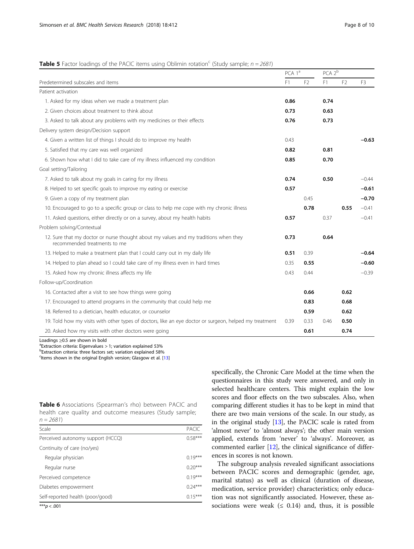# <span id="page-7-0"></span>**Table 5** Factor loadings of the PACIC items using Oblimin rotation<sup>c</sup> (Study sample;  $n = 2681$ )

|                                                                                                                      |      | PCA 1ª |      | PCA 2 <sup>b</sup> |         |
|----------------------------------------------------------------------------------------------------------------------|------|--------|------|--------------------|---------|
| Predetermined subscales and items                                                                                    |      |        | F1   | F <sub>2</sub>     | F3      |
| Patient activation                                                                                                   |      |        |      |                    |         |
| 1. Asked for my ideas when we made a treatment plan                                                                  | 0.86 |        | 0.74 |                    |         |
| 2. Given choices about treatment to think about                                                                      | 0.73 |        | 0.63 |                    |         |
| 3. Asked to talk about any problems with my medicines or their effects                                               | 0.76 |        | 0.73 |                    |         |
| Delivery system design/Decision support                                                                              |      |        |      |                    |         |
| 4. Given a written list of things I should do to improve my health                                                   | 0.43 |        |      |                    | $-0.63$ |
| 5. Satisfied that my care was well organized                                                                         | 0.82 |        | 0.81 |                    |         |
| 6. Shown how what I did to take care of my illness influenced my condition                                           | 0.85 |        | 0.70 |                    |         |
| Goal setting/Tailoring                                                                                               |      |        |      |                    |         |
| 7. Asked to talk about my goals in caring for my illness                                                             | 0.74 |        | 0.50 |                    | $-0.44$ |
| 8. Helped to set specific goals to improve my eating or exercise                                                     | 0.57 |        |      |                    | $-0.61$ |
| 9. Given a copy of my treatment plan                                                                                 |      | 0.45   |      |                    | $-0.70$ |
| 10. Encouraged to go to a specific group or class to help me cope with my chronic illness                            |      | 0.78   |      | 0.55               | $-0.41$ |
| 11. Asked questions, either directly or on a survey, about my health habits                                          | 0.57 |        | 0.37 |                    | $-0.41$ |
| Problem solving/Contextual                                                                                           |      |        |      |                    |         |
| 12. Sure that my doctor or nurse thought about my values and my traditions when they<br>recommended treatments to me | 0.73 |        | 0.64 |                    |         |
| 13. Helped to make a treatment plan that I could carry out in my daily life                                          | 0.51 | 0.39   |      |                    | $-0.64$ |
| 14. Helped to plan ahead so I could take care of my illness even in hard times                                       | 0.35 | 0.55   |      |                    | $-0.60$ |
| 15. Asked how my chronic illness affects my life                                                                     | 0.43 | 0.44   |      |                    | $-0.39$ |
| Follow-up/Coordination                                                                                               |      |        |      |                    |         |
| 16. Contacted after a visit to see how things were going                                                             |      | 0.66   |      | 0.62               |         |
| 17. Encouraged to attend programs in the community that could help me                                                |      | 0.83   |      | 0.68               |         |
| 18. Referred to a dietician, health educator, or counselor                                                           |      | 0.59   |      | 0.62               |         |
| 19. Told how my visits with other types of doctors, like an eye doctor or surgeon, helped my treatment               | 0.39 | 0.33   | 0.46 | 0.50               |         |
| 20. Asked how my visits with other doctors were going                                                                |      | 0.61   |      | 0.74               |         |

Loadings  $\geq$ 0.5 are shown in bold

 $a$ Extraction criteria: Eigenvalues  $>$  1; variation explained 53%

b Extraction criteria: three factors set; variation explained 58%

<sup>c</sup>Items shown in the original English version; Glasgow et al. [\[13](#page-9-0)]

|            |  | <b>Table 6</b> Associations (Spearman's rho) between PACIC and |  |  |  |
|------------|--|----------------------------------------------------------------|--|--|--|
|            |  | health care quality and outcome measures (Study sample;        |  |  |  |
| $n = 2681$ |  |                                                                |  |  |  |

| Scale                             |           |  |  |  |  |
|-----------------------------------|-----------|--|--|--|--|
| Perceived autonomy support (HCCQ) |           |  |  |  |  |
| Continuity of care (no/yes)       |           |  |  |  |  |
| Regular physician                 | $0.19***$ |  |  |  |  |
| Regular nurse                     | $0.20***$ |  |  |  |  |
| Perceived competence              | $0.19***$ |  |  |  |  |
| Diabetes empowerment              |           |  |  |  |  |
| Self-reported health (poor/good)  |           |  |  |  |  |
| $*** - 201$                       |           |  |  |  |  |

 $*p < .001$ 

specifically, the Chronic Care Model at the time when the questionnaires in this study were answered, and only in selected healthcare centers. This might explain the low scores and floor effects on the two subscales. Also, when comparing different studies it has to be kept in mind that there are two main versions of the scale. In our study, as in the original study [\[13\]](#page-9-0), the PACIC scale is rated from 'almost never' to 'almost always'; the other main version applied, extends from 'never' to 'always'. Moreover, as commented earlier [\[12\]](#page-9-0), the clinical significance of differences in scores is not known.

The subgroup analysis revealed significant associations between PACIC scores and demographic (gender, age, marital status) as well as clinical (duration of disease, medication, service provider) characteristics; only education was not significantly associated. However, these associations were weak  $(≤ 0.14)$  and, thus, it is possible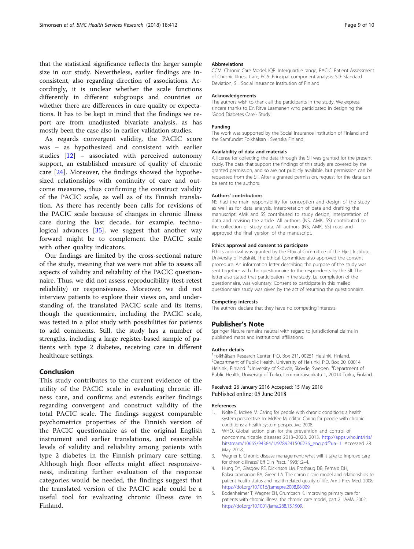<span id="page-8-0"></span>that the statistical significance reflects the larger sample size in our study. Nevertheless, earlier findings are inconsistent, also regarding direction of associations. Accordingly, it is unclear whether the scale functions differently in different subgroups and countries or whether there are differences in care quality or expectations. It has to be kept in mind that the findings we report are from unadjusted bivariate analysis, as has mostly been the case also in earlier validation studies.

As regards convergent validity, the PACIC score was – as hypothesized and consistent with earlier studies [[12\]](#page-9-0) – associated with perceived autonomy support, an established measure of quality of chronic care [\[24](#page-9-0)]. Moreover, the findings showed the hypothesized relationships with continuity of care and outcome measures, thus confirming the construct validity of the PACIC scale, as well as of its Finnish translation. As there has recently been calls for revisions of the PACIC scale because of changes in chronic illness care during the last decade, for example, technological advances [[35\]](#page-9-0), we suggest that another way forward might be to complement the PACIC scale with other quality indicators.

Our findings are limited by the cross-sectional nature of the study, meaning that we were not able to assess all aspects of validity and reliability of the PACIC questionnaire. Thus, we did not assess reproducibility (test-retest reliability) or responsiveness. Moreover, we did not interview patients to explore their views on, and understanding of, the translated PACIC scale and its items, though the questionnaire, including the PACIC scale, was tested in a pilot study with possibilities for patients to add comments. Still, the study has a number of strengths, including a large register-based sample of patients with type 2 diabetes, receiving care in different healthcare settings.

# Conclusion

This study contributes to the current evidence of the utility of the PACIC scale in evaluating chronic illness care, and confirms and extends earlier findings regarding convergent and construct validity of the total PACIC scale. The findings suggest comparable psychometrics properties of the Finnish version of the PACIC questionnaire as of the original English instrument and earlier translations, and reasonable levels of validity and reliability among patients with type 2 diabetes in the Finnish primary care setting. Although high floor effects might affect responsiveness, indicating further evaluation of the response categories would be needed, the findings suggest that the translated version of the PACIC scale could be a useful tool for evaluating chronic illness care in Finland.

#### Abbreviations

CCM: Chronic Care Model; IQR: Interquartile range; PACIC: Patient Assessment of Chronic Illness Care; PCA: Principal component analysis; SD: Standard Deviation; SII: Social Insurance Institution of Finland

#### Acknowledgements

The authors wish to thank all the participants in the study. We express sincere thanks to Dr. Ritva Laamanen who participated in designing the 'Good Diabetes Care'- Study.

#### Funding

The work was supported by the Social Insurance Institution of Finland and the Samfundet Folkhälsan i Svenska Finland.

#### Availability of data and materials

A license for collecting the data through the SII was granted for the present study. The data that support the findings of this study are covered by the granted permission, and so are not publicly available, but permission can be requested from the SII. After a granted permission, request for the data can be sent to the authors.

#### Authors' contributions

NS had the main responsibility for conception and design of the study as well as for data analysis, interpretation of data and drafting the manuscript. AMK and SS contributed to study design, interpretation of data and revising the article. All authors (NS, AMK, SS) contributed to the collection of study data. All authors (NS, AMK, SS) read and approved the final version of the manuscript.

#### Ethics approval and consent to participate

Ethics approval was granted by the Ethical Committee of the Hjelt Institute, University of Helsinki. The Ethical Committee also approved the consent procedure. An information letter describing the purpose of the study was sent together with the questionnaire to the respondents by the SII. The letter also stated that participation in the study, i.e. completion of the questionnaire, was voluntary. Consent to participate in this mailed questionnaire study was given by the act of returning the questionnaire.

#### Competing interests

The authors declare that they have no competing interests.

#### Publisher's Note

Springer Nature remains neutral with regard to jurisdictional claims in published maps and institutional affiliations.

#### Author details

<sup>1</sup>Folkhälsan Research Center, P.O. Box 211, 00251 Helsinki, Finland <sup>2</sup>Department of Public Health, University of Helsinki, P.O. Box 20, 00014 Helsinki, Finland. <sup>3</sup>University of Skövde, Skövde, Sweden. <sup>4</sup>Department of Public Health, University of Turku, Lemminkäisenkatu 1, 20014 Turku, Finland.

# Received: 26 January 2016 Accepted: 15 May 2018<br>Published online: 05 June 2018

#### References

- 1. Nolte E, McKee M. Caring for people with chronic conditions: a health system perspective. In: McKee M, editor. Caring for people with chronic conditions: a health system perspective; 2008.
- 2. WHO. Global action plan for the prevention and control of noncommunicable diseases 2013–2020. 2013. [http://apps.who.int/iris/](http://apps.who.int/iris/bitstream/10665/94384/1/9789241506236_eng.pdf?ua=1) [bitstream/10665/94384/1/9789241506236\\_eng.pdf?ua=1.](http://apps.who.int/iris/bitstream/10665/94384/1/9789241506236_eng.pdf?ua=1) Accessed 28 May 2018.
- 3. Wagner E. Chronic disease management: what will it take to improve care for chronic illness? Eff Clin Pract. 1998;1:2–4.
- 4. Hung DY, Glasgow RE, Dickinson LM, Froshaug DB, Fernald DH, Balasubramanian BA, Green LA. The chronic care model and relationships to patient health status and health-related quality of life. Am J Prev Med. 2008; [https://doi.org/10.1016/j.amepre.2008.08.009.](https://doi.org/10.1016/j.amepre.2008.08.009)
- 5. Bodenheimer T, Wagner EH, Grumbach K. Improving primary care for patients with chronic illness: the chronic care model, part 2. JAMA. 2002; [https://doi.org/10.1001/jama.288.15.1909.](https://doi.org/10.1001/jama.288.15.1909)